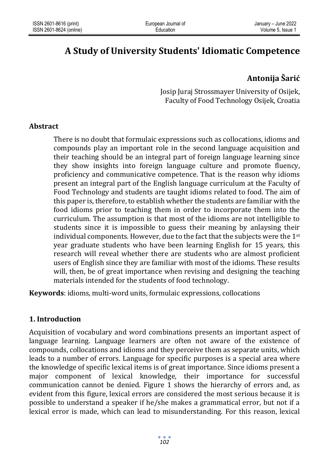# **A Study of University Students' Idiomatic Competence**

# **Antonija Šarić**

Josip Juraj Strossmayer University of Osijek, Faculty of Food Technology Osijek, Croatia

## **Abstract**

There is no doubt that formulaic expressions such as collocations, idioms and compounds play an important role in the second language acquisition and their teaching should be an integral part of foreign language learning since they show insights into foreign language culture and promote fluency, proficiency and communicative competence. That is the reason why idioms present an integral part of the English language curriculum at the Faculty of Food Technology and students are taught idioms related to food. The aim of this paper is, therefore, to establish whether the students are familiar with the food idioms prior to teaching them in order to incorporate them into the curriculum. The assumption is that most of the idioms are not intelligible to students since it is impossible to guess their meaning by anlaysing their individual components. However, due to the fact that the subjects were the  $1<sup>st</sup>$ year graduate students who have been learning English for 15 years, this research will reveal whether there are students who are almost proficient users of English since they are familiar with most of the idioms. These results will, then, be of great importance when revising and designing the teaching materials intended for the students of food technology.

**Keywords**: idioms, multi-word units, formulaic expressions, collocations

## **1. Introduction**

Acquisition of vocabulary and word combinations presents an important aspect of language learning. Language learners are often not aware of the existence of compounds, collocations and idioms and they perceive them as separate units, which leads to a number of errors. Language for specific purposes is a special area where the knowledge of specific lexical items is of great importance. Since idioms present a major component of lexical knowledge, their importance for successful communication cannot be denied. Figure 1 shows the hierarchy of errors and, as evident from this figure, lexical errors are considered the most serious because it is possible to understand a speaker if he/she makes a grammatical error, but not if a lexical error is made, which can lead to misunderstanding. For this reason, lexical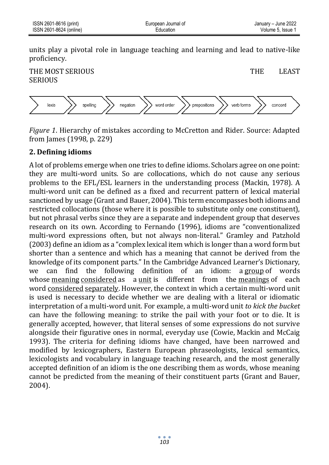units play a pivotal role in language teaching and learning and lead to native-like proficiency.

THE MOST SERIOUS THE LEAST SERIOUS



*Figure 1*. Hierarchy of mistakes according to McCretton and Rider. Source: Adapted from James (1998, p. 229)

## **2. Defining idioms**

A lot of problems emerge when one tries to define idioms. Scholars agree on one point: they are multi-word units. So are collocations, which do not cause any serious problems to the EFL/ESL learners in the understanding process (Mackin, 1978). A multi-word unit can be defined as a fixed and recurrent pattern of lexical material sanctioned by usage (Grant and Bauer, 2004). This term encompasses both idioms and restricted collocations (those where it is possible to substitute only one constituent), but not phrasal verbs since they are a separate and independent group that deserves research on its own. According to Fernando (1996), idioms are "conventionalized multi-word expressions often, but not always non-literal." Gramley and Patzhold (2003) define an idiom as a "complex lexical item which is longer than a word form but shorter than a sentence and which has a meaning that cannot be derived from the knowledge of its component parts." In the Cambridge Advanced Learner's Dictionary, we can find the following definition of an idiom: a [group](https://dictionary.cambridge.org/dictionary/english/group) of words whose [meaning](https://dictionary.cambridge.org/dictionary/english/meaning) [considered](https://dictionary.cambridge.org/dictionary/english/considered) as a [unit](https://dictionary.cambridge.org/dictionary/english/unit) is different from the [meanings](https://dictionary.cambridge.org/dictionary/english/meaning) of each word [considered](https://dictionary.cambridge.org/dictionary/english/considered) [separately.](https://dictionary.cambridge.org/dictionary/english/separately) However, the context in which a certain multi-word unit is used is necessary to decide whether we are dealing with a literal or idiomatic interpretation of a multi-word unit. For example, a multi-word unit *to kick the bucket* can have the following meaning: to strike the pail with your foot or to die. It is generally accepted, however, that literal senses of some expressions do not survive alongside their figurative ones in normal, everyday use (Cowie, Mackin and McCaig 1993). The criteria for defining idioms have changed, have been narrowed and modified by lexicographers, Eastern European phraseologists, lexical semantics, lexicologists and vocabulary in language teaching research, and the most generally accepted definition of an idiom is the one describing them as words, whose meaning cannot be predicted from the meaning of their constituent parts (Grant and Bauer, 2004).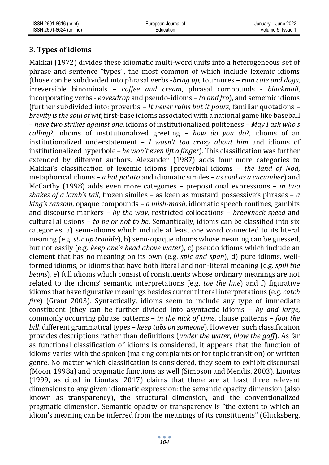# **3. Types of idioms**

Makkai (1972) divides these idiomatic multi-word units into a heterogeneous set of phrase and sentence "types", the most common of which include lexemic idioms (those can be subdivided into phrasal verbs -*bring up*, tournures – *rain cats and dogs*, irreversible binominals – *coffee and cream*, phrasal compounds - *blackmail*, incorporating verbs - *eavesdrop* and pseudo-idioms – *to and fro*), and sememic idioms (further subdivided into: proverbs – *It never rains but it pours*, familiar quotations – *brevity is the soul of wit*, first-base idioms associated with a national game like baseball – *have two strikes against one*, idioms of institutionalized politeness – *May I ask who's calling*?, idioms of institutionalized greeting – *how do you do*?, idioms of an institutionalized understatement – *I wasn't too crazy about him* and idioms of institutionalized hyperbole – *he won't even lift a finger*). This classification was further extended by different authors. Alexander (1987) adds four more categories to Makkai's classification of lexemic idioms (proverbial idioms – *the land of Nod*, metaphorical idioms – *a hot potato* and idiomatic similes – *as cool as a cucumber*) and McCarthy (1998) adds even more categories – prepositional expressions – *in two shakes of a lamb's tail*, frozen similes – as keen as mustard, possessive's phrases – *a king's ransom*, opaque compounds – *a mish-mash*, idiomatic speech routines, gambits and discourse markers – *by the way*, restricted collocations – *breakneck speed* and cultural allusions – *to be or not to be*. Semantically, idioms can be classified into six categories: a) semi-idioms which include at least one word connected to its literal meaning (e.g. *stir up trouble*), b) semi-opaque idioms whose meaning can be guessed, but not easily (e.g. *keep one's head above water*), c) pseudo idioms which include an element that has no meaning on its own (e.g. *spic and span*), d) pure idioms, wellformed idioms, or idioms that have both literal and non-literal meaning (e.g. *spill the beans*), e) full idioms which consist of constituents whose ordinary meanings are not related to the idioms' semantic interpretations (e.g. *toe the line*) and f) figurative idioms that have figurative meanings besides current literal interpretations (e.g. *catch fire*) (Grant 2003). Syntactically, idioms seem to include any type of immediate constituent (they can be further divided into asyntactic idioms – *by and large*, commonly occurring phrase patterns – *in the nick of time*, clause patterns – *foot the bill*, different grammatical types – *keep tabs on someone*). However, such classification provides descriptions rather than definitions (*under the water, blow the gaff*). As far as functional classification of idioms is considered, it appears that the function of idioms varies with the spoken (making complaints or for topic transition) or written genre. No matter which classification is considered, they seem to exhibit discoursal (Moon, 1998a) and pragmatic functions as well (Simpson and Mendis, 2003). Liontas (1999, as cited in Liontas, 2017) claims that there are at least three relevant dimensions to any given idiomatic expression: the semantic opacity dimension (also known as transparency), the structural dimension, and the conventionalized pragmatic dimension. Semantic opacity or transparency is "the extent to which an idiom's meaning can be inferred from the meanings of its constituents" (Glucksberg,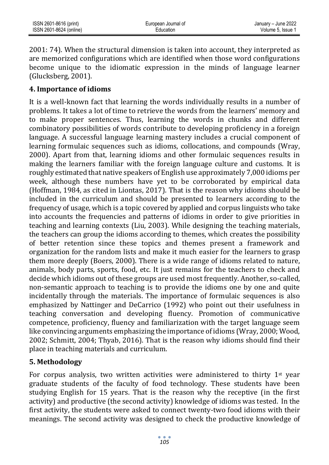| ISSN 2601-8616 (print)  | European Journal of | January - June 2022 |
|-------------------------|---------------------|---------------------|
| ISSN 2601-8624 (online) | Education           | Volume 5. Issue 1   |

2001: 74). When the structural dimension is taken into account, they interpreted as are memorized configurations which are identified when those word configurations become unique to the idiomatic expression in the minds of language learner (Glucksberg, 2001).

#### **4. Importance of idioms**

It is a well-known fact that learning the words individually results in a number of problems. It takes a lot of time to retrieve the words from the learners' memory and to make proper sentences. Thus, learning the words in chunks and different combinatory possibilities of words contribute to developing proficiency in a foreign language. A successful language learning mastery includes a crucial component of learning formulaic sequences such as idioms, collocations, and compounds (Wray, 2000). Apart from that, learning idioms and other formulaic sequences results in making the learners familiar with the foreign language culture and customs. It is roughly estimated that native speakers of English use approximately 7,000 idioms per week, although these numbers have yet to be corroborated by empirical data (Hoffman, 1984, as cited in Liontas, 2017). That is the reason why idioms should be included in the curriculum and should be presented to learners according to the frequency of usage, which is a topic covered by applied and corpus linguists who take into accounts the frequencies and patterns of idioms in order to give priorities in teaching and learning contexts (Liu, 2003). While designing the teaching materials, the teachers can group the idioms according to themes, which creates the possibility of better retention since these topics and themes present a framework and organization for the random lists and make it much easier for the learners to grasp them more deeply (Boers, 2000). There is a wide range of idioms related to nature, animals, body parts, sports, food, etc. It just remains for the teachers to check and decide which idioms out of these groups are used most frequently. Another, so-called, non-semantic approach to teaching is to provide the idioms one by one and quite incidentally through the materials. The importance of formulaic sequences is also emphasized by Nattinger and DeCarrico (1992) who point out their usefulness in teaching conversation and developing fluency. Promotion of communicative competence, proficiency, fluency and familiarization with the target language seem like convincing arguments emphasizing the importance of idioms (Wray, 2000; Wood, 2002; Schmitt, 2004; Thyab, 2016). That is the reason why idioms should find their place in teaching materials and curriculum.

## **5. Methodology**

For corpus analysis, two written activities were administered to thirty 1<sup>st</sup> vear graduate students of the faculty of food technology. These students have been studying English for 15 years. That is the reason why the receptive (in the first activity) and productive (the second activity) knowledge of idioms was tested. In the first activity, the students were asked to connect twenty-two food idioms with their meanings. The second activity was designed to check the productive knowledge of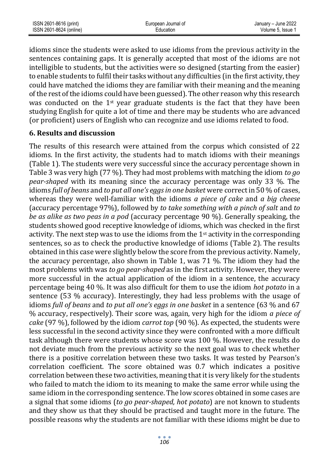| ISSN 2601-8616 (print)  | European Journal of | January - June 2022 |
|-------------------------|---------------------|---------------------|
| ISSN 2601-8624 (online) | Education           | Volume 5. Issue 1   |

idioms since the students were asked to use idioms from the previous activity in the sentences containing gaps. It is generally accepted that most of the idioms are not intelligible to students, but the activities were so designed (starting from the easier) to enable students to fulfil their tasks without any difficulties (in the first activity, they could have matched the idioms they are familiar with their meaning and the meaning of the rest of the idioms could have been guessed). The other reason why this research was conducted on the  $1<sup>st</sup>$  year graduate students is the fact that they have been studying English for quite a lot of time and there may be students who are advanced (or proficient) users of English who can recognize and use idioms related to food.

#### **6. Results and discussion**

The results of this research were attained from the corpus which consisted of 22 idioms. In the first activity, the students had to match idioms with their meanings (Table 1). The students were very successful since the accuracy percentage shown in Table 3 was very high (77 %). They had most problems with matching the idiom *to go pear-shaped* with its meaning since the accuracy percentage was only 33 %. The idioms *full of beans* and *to put all one's eggs in one basket* were correct in 50 % of cases, whereas they were well-familiar with the idioms *a piece of cake* and *a big cheese* (accuracy percentage 97%), followed by *to take something with a pinch of salt* and *to be as alike as two peas in a pod* (accuracy percentage 90 %). Generally speaking, the students showed good receptive knowledge of idioms, which was checked in the first activity. The next step was to use the idioms from the  $1<sup>st</sup>$  activity in the corresponding sentences, so as to check the productive knowledge of idioms (Table 2). The results obtained in this case were slightly below the score from the previous activity. Namely, the accuracy percentage, also shown in Table 1, was 71 %. The idiom they had the most problems with was *to go pear-shaped* as in the first activity. However, they were more successful in the actual application of the idiom in a sentence, the accuracy percentage being 40 %. It was also difficult for them to use the idiom *hot potato* in a sentence (53 % accuracy). Interestingly, they had less problems with the usage of idioms *full of beans* and *to put all one's eggs in one basket* in a sentence (63 % and 67 % accuracy, respectively). Their score was, again, very high for the idiom *a piece of cake* (97 %), followed by the idiom *carrot top* (90 %). As expected, the students were less successful in the second activity since they were confronted with a more difficult task although there were students whose score was 100 %. However, the results do not deviate much from the previous activity so the next goal was to check whether there is a positive correlation between these two tasks. It was tested by Pearson's correlation coefficient. The score obtained was 0.7 which indicates a positive correlation between these two activities, meaning that it is very likely for the students who failed to match the idiom to its meaning to make the same error while using the same idiom in the corresponding sentence. The low scores obtained in some cases are a signal that some idioms (*to go pear-shaped, hot potato*) are not known to students and they show us that they should be practised and taught more in the future. The possible reasons why the students are not familiar with these idioms might be due to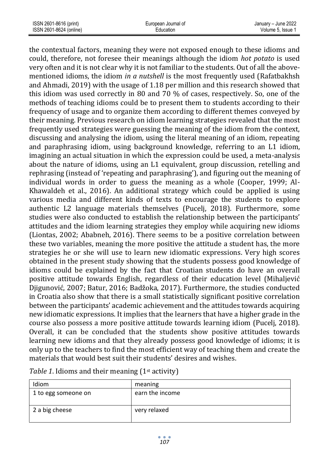| ISSN 2601-8616 (print)  | European Journal of | January - June 2022 |
|-------------------------|---------------------|---------------------|
| ISSN 2601-8624 (online) | Education           | Volume 5. Issue 1   |

the contextual factors, meaning they were not exposed enough to these idioms and could, therefore, not foresee their meanings although the idiom *hot potato* is used very often and it is not clear why it is not familiar to the students. Out of all the abovementioned idioms, the idiom *in a nutshell* is the most frequently used (Rafatbakhsh and Ahmadi, 2019) with the usage of 1.18 per million and this research showed that this idiom was used correctly in 80 and 70 % of cases, respectively. So, one of the methods of teaching idioms could be to present them to students according to their frequency of usage and to organize them according to different themes conveyed by their meaning. Previous research on idiom learning strategies revealed that the most frequently used strategies were guessing the meaning of the idiom from the context, discussing and analysing the idiom, using the literal meaning of an idiom, repeating and paraphrasing idiom, using background knowledge, referring to an L1 idiom, imagining an actual situation in which the expression could be used, a meta-analysis about the nature of idioms, using an L1 equivalent, group discussion, retelling and rephrasing (instead of 'repeating and paraphrasing'), and figuring out the meaning of individual words in order to guess the meaning as a whole (Cooper, 1999; Al-Khawaldeh et al., 2016). An additional strategy which could be applied is using various media and different kinds of texts to encourage the students to explore authentic L2 language materials themselves (Pucelj, 2018). Furthermore, some studies were also conducted to establish the relationship between the participants' attitudes and the idiom learning strategies they employ while acquiring new idioms (Liontas, 2002; Ababneh, 2016). There seems to be a positive correlation between these two variables, meaning the more positive the attitude a student has, the more strategies he or she will use to learn new idiomatic expressions. Very high scores obtained in the present study showing that the students possess good knowledge of idioms could be explained by the fact that Croatian students do have an overall positive attitude towards English, regardless of their education level (Mihaljević Djigunović, 2007; Batur, 2016; Badžoka, 2017). Furthermore, the studies conducted in Croatia also show that there is a small statistically significant positive correlation between the participants' academic achievement and the attitudes towards acquiring new idiomatic expressions. It implies that the learners that have a higher grade in the course also possess a more positive attitude towards learning idiom (Pucelj, 2018). Overall, it can be concluded that the students show positive attitudes towards learning new idioms and that they already possess good knowledge of idioms; it is only up to the teachers to find the most efficient way of teaching them and create the materials that would best suit their students' desires and wishes.

| Idiom               | meaning         |
|---------------------|-----------------|
| 1 to egg someone on | earn the income |
| 2 a big cheese      | very relaxed    |

*Table 1*. Idioms and their meaning (1<sup>st</sup> activity)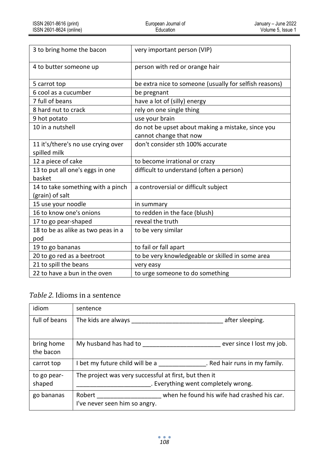| 3 to bring home the bacon          | very important person (VIP)                            |
|------------------------------------|--------------------------------------------------------|
| 4 to butter someone up             | person with red or orange hair                         |
| 5 carrot top                       | be extra nice to someone (usually for selfish reasons) |
| 6 cool as a cucumber               | be pregnant                                            |
| 7 full of beans                    | have a lot of (silly) energy                           |
| 8 hard nut to crack                | rely on one single thing                               |
| 9 hot potato                       | use your brain                                         |
| 10 in a nutshell                   | do not be upset about making a mistake, since you      |
|                                    | cannot change that now                                 |
| 11 it's/there's no use crying over | don't consider sth 100% accurate                       |
| spilled milk                       |                                                        |
| 12 a piece of cake                 | to become irrational or crazy                          |
| 13 to put all one's eggs in one    | difficult to understand (often a person)               |
| basket                             |                                                        |
| 14 to take something with a pinch  | a controversial or difficult subject                   |
| (grain) of salt                    |                                                        |
| 15 use your noodle                 | in summary                                             |
| 16 to know one's onions            | to redden in the face (blush)                          |
| 17 to go pear-shaped               | reveal the truth                                       |
| 18 to be as alike as two peas in a | to be very similar                                     |
| pod                                |                                                        |
| 19 to go bananas                   | to fail or fall apart                                  |
| 20 to go red as a beetroot         | to be very knowledgeable or skilled in some area       |
| 21 to spill the beans              | very easy                                              |
| 22 to have a bun in the oven       | to urge someone to do something                        |

# *Table 2.* Idioms in a sentence

| idiom                   | sentence                                                                                     |
|-------------------------|----------------------------------------------------------------------------------------------|
| full of beans           | The kids are always<br>after sleeping.                                                       |
| bring home<br>the bacon | My husband has had to<br>ever since I lost my job.                                           |
| carrot top              | bet my future child will be a<br>. Red hair runs in my family.                               |
| to go pear-<br>shaped   | The project was very successful at first, but then it<br>. Everything went completely wrong. |
| go bananas              | when he found his wife had crashed his car.<br>Robert<br>I've never seen him so angry.       |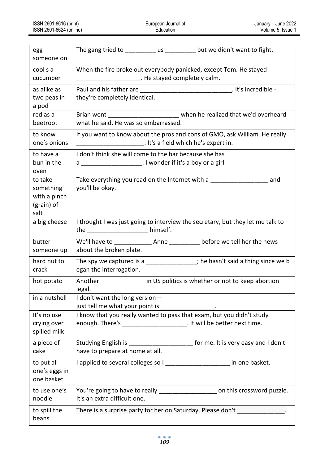| egg<br>someone on                                          | The gang tried to _________ us _________ but we didn't want to fight.                                                                              |  |  |
|------------------------------------------------------------|----------------------------------------------------------------------------------------------------------------------------------------------------|--|--|
| cool s a<br>cucumber                                       | When the fire broke out everybody panicked, except Tom. He stayed                                                                                  |  |  |
| as alike as<br>two peas in<br>a pod                        | they're completely identical.                                                                                                                      |  |  |
| red as a<br>beetroot                                       | Brian went _________________________ when he realized that we'd overheard<br>what he said. He was so embarrassed.                                  |  |  |
| to know<br>one's onions                                    | If you want to know about the pros and cons of GMO, ask William. He really<br>________________________________. It's a field which he's expert in. |  |  |
| to have a<br>bun in the<br>oven                            | I don't think she will come to the bar because she has                                                                                             |  |  |
| to take<br>something<br>with a pinch<br>(grain) of<br>salt | Take everything you read on the Internet with a measurement of and<br>you'll be okay.                                                              |  |  |
| a big cheese                                               | I thought I was just going to interview the secretary, but they let me talk to<br>the ____________________ himself.                                |  |  |
| butter<br>someone up                                       | We'll have to _______________ Anne ___________ before we tell her the news<br>about the broken plate.                                              |  |  |
| hard nut to<br>crack                                       | The spy we captured is a ______________; he hasn't said a thing since we b<br>egan the interrogation.                                              |  |  |
| hot potato                                                 | Another ______________ in US politics is whether or not to keep abortion<br>legal.                                                                 |  |  |
| in a nutshell                                              | I don't want the long version-<br>just tell me what your point is                                                                                  |  |  |
| It's no use<br>crying over<br>spilled milk                 | I know that you really wanted to pass that exam, but you didn't study<br>enough. There's _____________________. It will be better next time.       |  |  |
| a piece of<br>cake                                         | for me. It is very easy and I don't<br>Studying English is _________<br>have to prepare at home at all.                                            |  |  |
| to put all<br>one's eggs in<br>one basket                  | I applied to several colleges so I _________________________ in one basket.                                                                        |  |  |
| to use one's<br>noodle                                     | You're going to have to really ____________________ on this crossword puzzle.<br>It's an extra difficult one.                                      |  |  |
| to spill the<br>beans                                      | There is a surprise party for her on Saturday. Please don't _____________.                                                                         |  |  |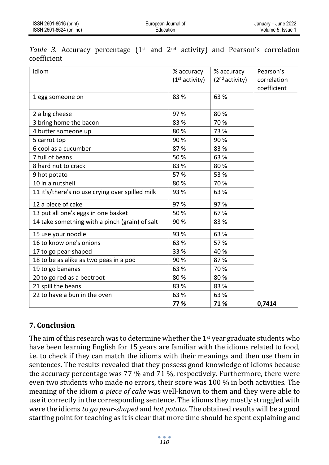| idiom                                           | % accuracy                 | % accuracy                 | Pearson's   |
|-------------------------------------------------|----------------------------|----------------------------|-------------|
|                                                 | (1 <sup>st</sup> activity) | (2 <sup>nd</sup> activity) | correlation |
|                                                 |                            |                            | coefficient |
| 1 egg someone on                                | 83%                        | 63 %                       |             |
|                                                 |                            |                            |             |
| 2 a big cheese                                  | 97%                        | 80%                        |             |
| 3 bring home the bacon                          | 83%                        | 70 %                       |             |
| 4 butter someone up                             | 80%                        | 73 %                       |             |
| 5 carrot top                                    | 90%                        | 90%                        |             |
| 6 cool as a cucumber                            | 87%                        | 83 %                       |             |
| 7 full of beans                                 | 50%                        | 63 %                       |             |
| 8 hard nut to crack                             | 83%                        | 80%                        |             |
| 9 hot potato                                    | 57%                        | 53 %                       |             |
| 10 in a nutshell                                | 80%                        | 70 %                       |             |
| 11 it's/there's no use crying over spilled milk | 93 %                       | 63 %                       |             |
| 12 a piece of cake                              | 97%                        | 97%                        |             |
| 13 put all one's eggs in one basket             | 50%                        | 67%                        |             |
| 14 take something with a pinch (grain) of salt  | 90%                        | 83 %                       |             |
| 15 use your noodle                              | 93 %                       | 63 %                       |             |
| 16 to know one's onions                         | 63 %                       | 57%                        |             |
| 17 to go pear-shaped                            | 33 %                       | 40 %                       |             |
| 18 to be as alike as two peas in a pod          | 90%                        | 87%                        |             |
| 19 to go bananas                                | 63 %                       | 70 %                       |             |
| 20 to go red as a beetroot                      | 80%                        | 80%                        |             |
| 21 spill the beans                              | 83%                        | 83 %                       |             |
| 22 to have a bun in the oven                    | 63 %                       | 63 %                       |             |
|                                                 | 77 %                       | 71%                        | 0,7414      |

*Table 3.* Accuracy percentage  $(1^{st}$  and  $2^{nd}$  activity) and Pearson's correlation coefficient

# **7. Conclusion**

The aim of this research was to determine whether the  $1<sup>st</sup>$  year graduate students who have been learning English for 15 years are familiar with the idioms related to food, i.e. to check if they can match the idioms with their meanings and then use them in sentences. The results revealed that they possess good knowledge of idioms because the accuracy percentage was 77 % and 71 %, respectively. Furthermore, there were even two students who made no errors, their score was 100 % in both activities. The meaning of the idiom *a piece of cake* was well-known to them and they were able to use it correctly in the corresponding sentence. The idioms they mostly struggled with were the idioms *to go pear-shaped* and *hot potato*. The obtained results will be a good starting point for teaching as it is clear that more time should be spent explaining and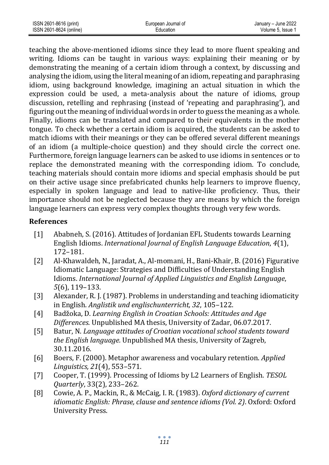| ISSN 2601-8616 (print)  | European Journal of | January - June 2022 |
|-------------------------|---------------------|---------------------|
| ISSN 2601-8624 (online) | Education           | Volume 5, Issue 1   |

teaching the above-mentioned idioms since they lead to more fluent speaking and writing. Idioms can be taught in various ways: explaining their meaning or by demonstrating the meaning of a certain idiom through a context, by discussing and analysing the idiom, using the literal meaning of an idiom, repeating and paraphrasing idiom, using background knowledge, imagining an actual situation in which the expression could be used, a meta-analysis about the nature of idioms, group discussion, retelling and rephrasing (instead of 'repeating and paraphrasing'), and figuring out the meaning of individual words in order to guess the meaning as a whole. Finally, idioms can be translated and compared to their equivalents in the mother tongue. To check whether a certain idiom is acquired, the students can be asked to match idioms with their meanings or they can be offered several different meanings of an idiom (a multiple-choice question) and they should circle the correct one. Furthermore, foreign language learners can be asked to use idioms in sentences or to replace the demonstrated meaning with the corresponding idiom. To conclude, teaching materials should contain more idioms and special emphasis should be put on their active usage since prefabricated chunks help learners to improve fluency, especially in spoken language and lead to native-like proficiency. Thus, their importance should not be neglected because they are means by which the foreign language learners can express very complex thoughts through very few words.

#### **References**

- [1] Ababneh, S. (2016). Attitudes of Jordanian EFL Students towards Learning English Idioms. *International Journal of English Language Education*, *4*(1), 172–181.
- [2] Al-Khawaldeh, N., Jaradat, A., Al-momani, H., Bani-Khair, B. (2016) Figurative Idiomatic Language: Strategies and Difficulties of Understanding English Idioms. *International Journal of Applied Linguistics and English Language*, *5*(6), 119–133.
- [3] Alexander, R. J. (1987). Problems in understanding and teaching idiomaticity in English. *Anglistik und englischunterricht, 32*, 105–122.
- [4] Badžoka, D. *Learning English in Croatian Schools: Attitudes and Age Differences*. Unpublished MA thesis, University of Zadar, 06.07.2017.
- [5] Batur, N. *Language attitudes of Croatian vocational school students toward the English language.* Unpublished MA thesis, University of Zagreb, 30.11.2016.
- [6] Boers, F. (2000). Metaphor awareness and vocabulary retention. *Applied Linguistics, 21*(4), 553–571.
- [7] Cooper, T. (1999). Processing of Idioms by L2 Learners of English. *TESOL Quarterly*, 33(2), 233–262.
- [8] Cowie, A. P., Mackin, R., & McCaig, I. R. (1983). *Oxford dictionary of current idiomatic English: Phrase, clause and sentence idioms (Vol. 2)*. Oxford: Oxford University Press.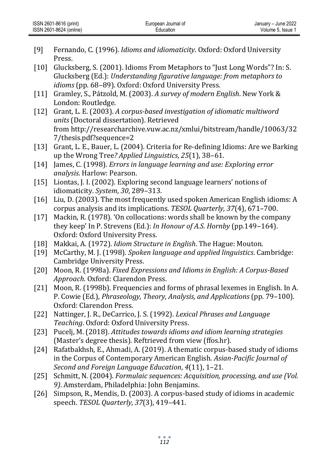| ISSN 2601-8616 (print)  | European Journal of | January - June 2022 |
|-------------------------|---------------------|---------------------|
| ISSN 2601-8624 (online) | Education           | Volume 5. Issue 1   |

| [9]    | Fernando, C. (1996). Idioms and idiomaticity. Oxford: Oxford University<br>Press.                                                                                                                              |
|--------|----------------------------------------------------------------------------------------------------------------------------------------------------------------------------------------------------------------|
| $[10]$ | Glucksberg, S. (2001). Idioms From Metaphors to "Just Long Words"? In: S.<br>Glucksberg (Ed.): Understanding figurative language: from metaphors to<br>idioms (pp. 68-89). Oxford: Oxford University Press.    |
| $[11]$ | Gramley, S., Pátzold, M. (2003). A survey of modern English. New York &<br>London: Routledge.                                                                                                                  |
| $[12]$ | Grant, L. E. (2003). A corpus-based investigation of idiomatic multiword<br>units (Doctoral dissertation). Retrieved                                                                                           |
|        | from http://researcharchive.vuw.ac.nz/xmlui/bitstream/handle/10063/32<br>7/thesis.pdf?sequence=2                                                                                                               |
| $[13]$ | Grant, L. E., Bauer, L. (2004). Criteria for Re-defining Idioms: Are we Barking<br>up the Wrong Tree? Applied Linguistics, 25(1), 38-61.                                                                       |
| $[14]$ | James, C. (1998). Errors in language learning and use: Exploring error<br>analysis. Harlow: Pearson.                                                                                                           |
| $[15]$ | Liontas, J. I. (2002). Exploring second language learners' notions of<br>idiomaticity. System, 30, 289-313.                                                                                                    |
| $[16]$ | Liu, D. (2003). The most frequently used spoken American English idioms: A<br>corpus analysis and its implications. TESOL Quarterly, 37(4), 671-700.                                                           |
| $[17]$ | Mackin, R. (1978). 'On collocations: words shall be known by the company<br>they keep' In P. Strevens (Ed.): In Honour of A.S. Hornby (pp.149-164).<br>Oxford: Oxford University Press.                        |
| $[18]$ | Makkai, A. (1972). Idiom Structure in English. The Hague: Mouton.                                                                                                                                              |
| $[19]$ | McCarthy, M. J. (1998). Spoken language and applied linguistics. Cambridge:<br>Cambridge University Press.                                                                                                     |
| $[20]$ | Moon, R. (1998a). Fixed Expressions and Idioms in English: A Corpus-Based<br>Approach. Oxford: Clarendon Press.                                                                                                |
| $[21]$ | Moon, R. (1998b). Frequencies and forms of phrasal lexemes in English. In A.<br>P. Cowie (Ed.), Phraseology, Theory, Analysis, and Applications (pp. 79-100).<br>Oxford: Clarendon Press.                      |
| $[22]$ | Nattinger, J. R., DeCarrico, J. S. (1992). Lexical Phrases and Language<br>Teaching. Oxford: Oxford University Press.                                                                                          |
| $[23]$ | Pucelj, M. (2018). Attitudes towards idioms and idiom learning strategies<br>(Master's degree thesis). Reftrieved from view (ffos.hr).                                                                         |
| $[24]$ | Rafatbakhsh, E., Ahmadi, A. (2019). A thematic corpus-based study of idioms<br>in the Corpus of Contemporary American English. Asian-Pacific Journal of<br>Second and Foreign Language Education, 4(11), 1-21. |
| $[25]$ | Schmitt, N. (2004). Formulaic sequences: Acquisition, processing, and use (Vol.<br>9). Amsterdam, Philadelphia: John Benjamins.                                                                                |
| $[26]$ | Simpson, R., Mendis, D. (2003). A corpus-based study of idioms in academic<br>speech. TESOL Quarterly, 37(3), 419-441.                                                                                         |
|        |                                                                                                                                                                                                                |